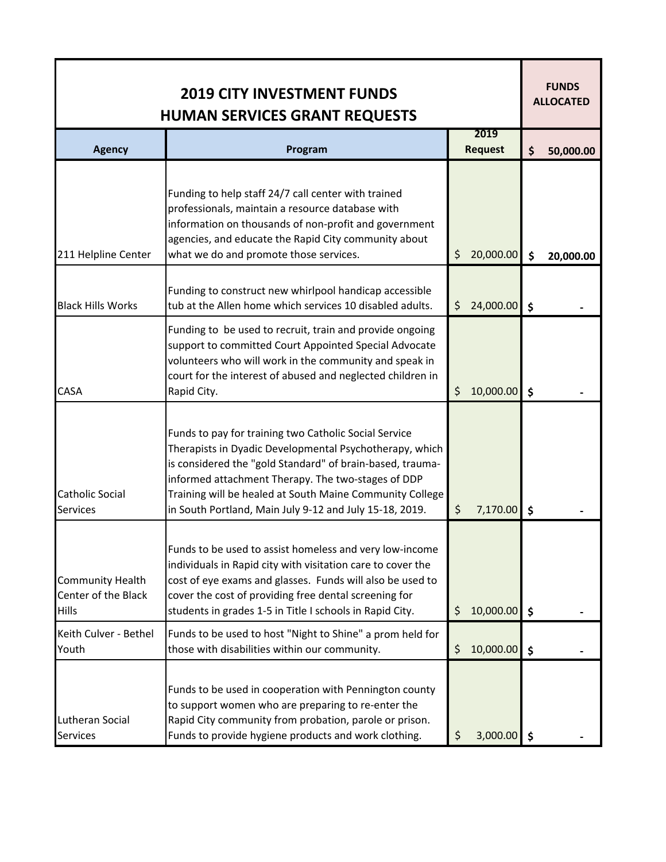| <b>2019 CITY INVESTMENT FUNDS</b><br><b>HUMAN SERVICES GRANT REQUESTS</b> |                                                                                                                                                                                                                                                                                                                                                            |                        |           |    | <b>FUNDS</b><br><b>ALLOCATED</b> |  |
|---------------------------------------------------------------------------|------------------------------------------------------------------------------------------------------------------------------------------------------------------------------------------------------------------------------------------------------------------------------------------------------------------------------------------------------------|------------------------|-----------|----|----------------------------------|--|
| <b>Agency</b>                                                             | Program                                                                                                                                                                                                                                                                                                                                                    | 2019<br><b>Request</b> |           | \$ | 50,000.00                        |  |
| 211 Helpline Center                                                       | Funding to help staff 24/7 call center with trained<br>professionals, maintain a resource database with<br>information on thousands of non-profit and government<br>agencies, and educate the Rapid City community about<br>what we do and promote those services.                                                                                         | \$                     | 20,000.00 | \$ | 20,000.00                        |  |
| <b>Black Hills Works</b>                                                  | Funding to construct new whirlpool handicap accessible<br>tub at the Allen home which services 10 disabled adults.                                                                                                                                                                                                                                         | \$                     | 24,000.00 | \$ |                                  |  |
| <b>CASA</b>                                                               | Funding to be used to recruit, train and provide ongoing<br>support to committed Court Appointed Special Advocate<br>volunteers who will work in the community and speak in<br>court for the interest of abused and neglected children in<br>Rapid City.                                                                                                   | \$                     | 10,000.00 | \$ |                                  |  |
| <b>Catholic Social</b><br><b>Services</b>                                 | Funds to pay for training two Catholic Social Service<br>Therapists in Dyadic Developmental Psychotherapy, which<br>is considered the "gold Standard" of brain-based, trauma-<br>informed attachment Therapy. The two-stages of DDP<br>Training will be healed at South Maine Community College<br>in South Portland, Main July 9-12 and July 15-18, 2019. | \$                     | 7,170.00  | \$ |                                  |  |
| <b>Community Health</b><br>Center of the Black<br><b>Hills</b>            | Funds to be used to assist homeless and very low-income<br>individuals in Rapid city with visitation care to cover the<br>cost of eye exams and glasses. Funds will also be used to<br>cover the cost of providing free dental screening for<br>students in grades 1-5 in Title I schools in Rapid City.                                                   | \$                     | 10,000.00 | \$ |                                  |  |
| Keith Culver - Bethel<br>Youth                                            | Funds to be used to host "Night to Shine" a prom held for<br>those with disabilities within our community.                                                                                                                                                                                                                                                 | \$                     | 10,000.00 | \$ |                                  |  |
| Lutheran Social<br><b>Services</b>                                        | Funds to be used in cooperation with Pennington county<br>to support women who are preparing to re-enter the<br>Rapid City community from probation, parole or prison.<br>Funds to provide hygiene products and work clothing.                                                                                                                             | \$                     | 3,000.00  | \$ |                                  |  |